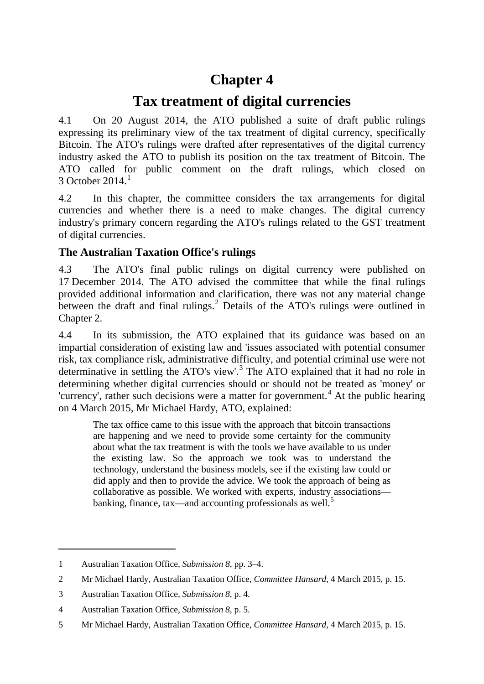# **Chapter 4**

# **Tax treatment of digital currencies**

4.1 On 20 August 2014, the ATO published a suite of draft public rulings expressing its preliminary view of the tax treatment of digital currency, specifically Bitcoin. The ATO's rulings were drafted after representatives of the digital currency industry asked the ATO to publish its position on the tax treatment of Bitcoin. The ATO called for public comment on the draft rulings, which closed on  $3$  October 20[1](#page-0-0)4.<sup>1</sup>

4.2 In this chapter, the committee considers the tax arrangements for digital currencies and whether there is a need to make changes. The digital currency industry's primary concern regarding the ATO's rulings related to the GST treatment of digital currencies.

## **The Australian Taxation Office's rulings**

4.3 The ATO's final public rulings on digital currency were published on 17 December 2014. The ATO advised the committee that while the final rulings provided additional information and clarification, there was not any material change between the draft and final rulings.<sup>[2](#page-0-1)</sup> Details of the ATO's rulings were outlined in Chapter 2.

4.4 In its submission, the ATO explained that its guidance was based on an impartial consideration of existing law and 'issues associated with potential consumer risk, tax compliance risk, administrative difficulty, and potential criminal use were not determinative in settling the ATO's view'. [3](#page-0-2) The ATO explained that it had no role in determining whether digital currencies should or should not be treated as 'money' or 'currency', rather such decisions were a matter for government. [4](#page-0-3) At the public hearing on 4 March 2015, Mr Michael Hardy, ATO, explained:

The tax office came to this issue with the approach that bitcoin transactions are happening and we need to provide some certainty for the community about what the tax treatment is with the tools we have available to us under the existing law. So the approach we took was to understand the technology, understand the business models, see if the existing law could or did apply and then to provide the advice. We took the approach of being as collaborative as possible. We worked with experts, industry associations— banking, finance, tax—and accounting professionals as well.<sup>[5](#page-0-4)</sup>

<span id="page-0-0"></span><sup>1</sup> Australian Taxation Office, *Submission 8*, pp. 3–4.

<span id="page-0-1"></span><sup>2</sup> Mr Michael Hardy, Australian Taxation Office, *Committee Hansard*, 4 March 2015, p. 15.

<span id="page-0-2"></span><sup>3</sup> Australian Taxation Office, *Submission 8*, p. 4.

<span id="page-0-3"></span><sup>4</sup> Australian Taxation Office, *Submission 8*, p. 5.

<span id="page-0-4"></span><sup>5</sup> Mr Michael Hardy, Australian Taxation Office, *Committee Hansard*, 4 March 2015, p. 15.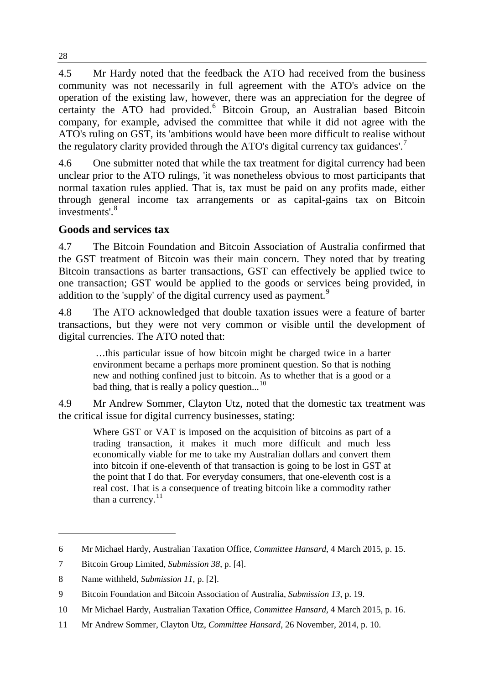4.5 Mr Hardy noted that the feedback the ATO had received from the business community was not necessarily in full agreement with the ATO's advice on the operation of the existing law, however, there was an appreciation for the degree of certainty the ATO had provided.<sup>[6](#page-1-0)</sup> Bitcoin Group, an Australian based Bitcoin company, for example, advised the committee that while it did not agree with the ATO's ruling on GST, its 'ambitions would have been more difficult to realise without the regulatory clarity provided through the ATO's digital currency tax guidances'.<sup>[7](#page-1-1)</sup>

4.6 One submitter noted that while the tax treatment for digital currency had been unclear prior to the ATO rulings, 'it was nonetheless obvious to most participants that normal taxation rules applied. That is, tax must be paid on any profits made, either through general income tax arrangements or as capital-gains tax on Bitcoin investments'.<sup>[8](#page-1-2)</sup>

### **Goods and services tax**

4.7 The Bitcoin Foundation and Bitcoin Association of Australia confirmed that the GST treatment of Bitcoin was their main concern. They noted that by treating Bitcoin transactions as barter transactions, GST can effectively be applied twice to one transaction; GST would be applied to the goods or services being provided, in addition to the 'supply' of the digital currency used as payment.<sup>[9](#page-1-3)</sup>

4.8 The ATO acknowledged that double taxation issues were a feature of barter transactions, but they were not very common or visible until the development of digital currencies. The ATO noted that:

…this particular issue of how bitcoin might be charged twice in a barter environment became a perhaps more prominent question. So that is nothing new and nothing confined just to bitcoin. As to whether that is a good or a bad thing, that is really a policy question...<sup>[10](#page-1-4)</sup>

4.9 Mr Andrew Sommer, Clayton Utz, noted that the domestic tax treatment was the critical issue for digital currency businesses, stating:

Where GST or VAT is imposed on the acquisition of bitcoins as part of a trading transaction, it makes it much more difficult and much less economically viable for me to take my Australian dollars and convert them into bitcoin if one-eleventh of that transaction is going to be lost in GST at the point that I do that. For everyday consumers, that one-eleventh cost is a real cost. That is a consequence of treating bitcoin like a commodity rather than a currency. $11$ 

<span id="page-1-0"></span><sup>6</sup> Mr Michael Hardy, Australian Taxation Office, *Committee Hansard*, 4 March 2015, p. 15.

<span id="page-1-1"></span><sup>7</sup> Bitcoin Group Limited, *Submission 38*, p. [4].

<span id="page-1-2"></span><sup>8</sup> Name withheld, *Submission 11*, p. [2].

<span id="page-1-3"></span><sup>9</sup> Bitcoin Foundation and Bitcoin Association of Australia, *Submission 13*, p. 19.

<span id="page-1-4"></span><sup>10</sup> Mr Michael Hardy, Australian Taxation Office, *Committee Hansard*, 4 March 2015, p. 16.

<span id="page-1-5"></span><sup>11</sup> Mr Andrew Sommer, Clayton Utz, *Committee Hansard*, 26 November, 2014, p. 10.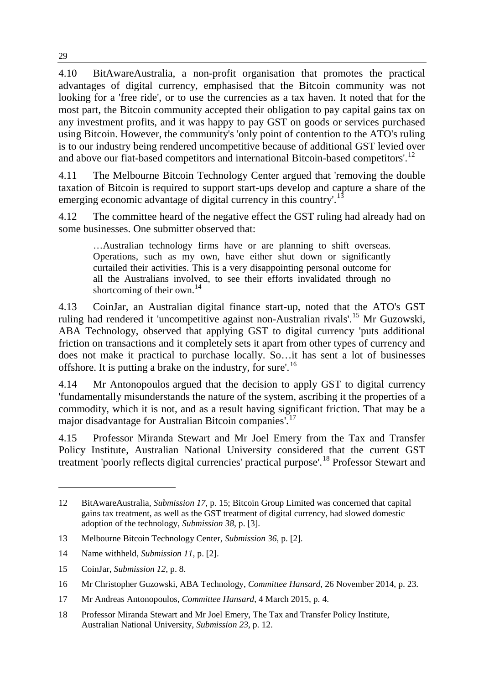4.10 BitAwareAustralia, a non-profit organisation that promotes the practical advantages of digital currency, emphasised that the Bitcoin community was not looking for a 'free ride', or to use the currencies as a tax haven. It noted that for the most part, the Bitcoin community accepted their obligation to pay capital gains tax on any investment profits, and it was happy to pay GST on goods or services purchased using Bitcoin. However, the community's 'only point of contention to the ATO's ruling is to our industry being rendered uncompetitive because of additional GST levied over and above our fiat-based competitors and international Bitcoin-based competitors'.<sup>[12](#page-2-0)</sup>

4.11 The Melbourne Bitcoin Technology Center argued that 'removing the double taxation of Bitcoin is required to support start-ups develop and capture a share of the emerging economic advantage of digital currency in this country'.<sup>[13](#page-2-1)</sup>

4.12 The committee heard of the negative effect the GST ruling had already had on some businesses. One submitter observed that:

…Australian technology firms have or are planning to shift overseas. Operations, such as my own, have either shut down or significantly curtailed their activities. This is a very disappointing personal outcome for all the Australians involved, to see their efforts invalidated through no shortcoming of their own.<sup>[14](#page-2-2)</sup>

4.13 CoinJar, an Australian digital finance start-up, noted that the ATO's GST ruling had rendered it 'uncompetitive against non-Australian rivals'.[15](#page-2-3) Mr Guzowski, ABA Technology, observed that applying GST to digital currency 'puts additional friction on transactions and it completely sets it apart from other types of currency and does not make it practical to purchase locally. So…it has sent a lot of businesses offshore. It is putting a brake on the industry, for sure'.<sup>[16](#page-2-4)</sup>

4.14 Mr Antonopoulos argued that the decision to apply GST to digital currency 'fundamentally misunderstands the nature of the system, ascribing it the properties of a commodity, which it is not, and as a result having significant friction. That may be a major disadvantage for Australian Bitcoin companies'.<sup>[17](#page-2-5)</sup>

4.15 Professor Miranda Stewart and Mr Joel Emery from the Tax and Transfer Policy Institute, Australian National University considered that the current GST treatment 'poorly reflects digital currencies' practical purpose'.[18](#page-2-6) Professor Stewart and

<span id="page-2-0"></span><sup>12</sup> BitAwareAustralia, *Submission 17*, p. 15; Bitcoin Group Limited was concerned that capital gains tax treatment, as well as the GST treatment of digital currency, had slowed domestic adoption of the technology, *Submission 38*, p. [3].

<span id="page-2-1"></span><sup>13</sup> Melbourne Bitcoin Technology Center, *Submission 36*, p. [2].

<span id="page-2-2"></span><sup>14</sup> Name withheld, *Submission 11*, p. [2].

<span id="page-2-3"></span><sup>15</sup> CoinJar, *Submission 12*, p. 8.

<span id="page-2-4"></span><sup>16</sup> Mr Christopher Guzowski, ABA Technology, *Committee Hansard*, 26 November 2014, p. 23.

<span id="page-2-5"></span><sup>17</sup> Mr Andreas Antonopoulos, *Committee Hansard*, 4 March 2015, p. 4.

<span id="page-2-6"></span><sup>18</sup> Professor Miranda Stewart and Mr Joel Emery, The Tax and Transfer Policy Institute, Australian National University, *Submission 23*, p. 12.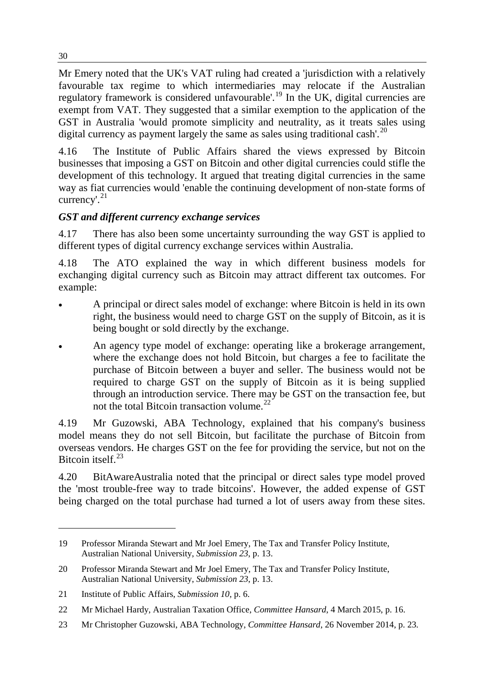Mr Emery noted that the UK's VAT ruling had created a 'jurisdiction with a relatively favourable tax regime to which intermediaries may relocate if the Australian regulatory framework is considered unfavourable'.<sup>[19](#page-3-0)</sup> In the UK, digital currencies are exempt from VAT. They suggested that a similar exemption to the application of the GST in Australia 'would promote simplicity and neutrality, as it treats sales using digital currency as payment largely the same as sales using traditional cash'.<sup>[20](#page-3-1)</sup>

4.16 The Institute of Public Affairs shared the views expressed by Bitcoin businesses that imposing a GST on Bitcoin and other digital currencies could stifle the development of this technology. It argued that treating digital currencies in the same way as fiat currencies would 'enable the continuing development of non-state forms of currency'. [21](#page-3-2)

## *GST and different currency exchange services*

4.17 There has also been some uncertainty surrounding the way GST is applied to different types of digital currency exchange services within Australia.

4.18 The ATO explained the way in which different business models for exchanging digital currency such as Bitcoin may attract different tax outcomes. For example:

- A principal or direct sales model of exchange: where Bitcoin is held in its own right, the business would need to charge GST on the supply of Bitcoin, as it is being bought or sold directly by the exchange.
- An agency type model of exchange: operating like a brokerage arrangement, where the exchange does not hold Bitcoin, but charges a fee to facilitate the purchase of Bitcoin between a buyer and seller. The business would not be required to charge GST on the supply of Bitcoin as it is being supplied through an introduction service. There may be GST on the transaction fee, but not the total Bitcoin transaction volume.<sup>[22](#page-3-3)</sup>

4.19 Mr Guzowski, ABA Technology, explained that his company's business model means they do not sell Bitcoin, but facilitate the purchase of Bitcoin from overseas vendors. He charges GST on the fee for providing the service, but not on the Bitcoin itself  $^{23}$  $^{23}$  $^{23}$ 

4.20 BitAwareAustralia noted that the principal or direct sales type model proved the 'most trouble-free way to trade bitcoins'. However, the added expense of GST being charged on the total purchase had turned a lot of users away from these sites.

30

<span id="page-3-0"></span><sup>19</sup> Professor Miranda Stewart and Mr Joel Emery, The Tax and Transfer Policy Institute, Australian National University, *Submission 23*, p. 13.

<span id="page-3-1"></span><sup>20</sup> Professor Miranda Stewart and Mr Joel Emery, The Tax and Transfer Policy Institute, Australian National University, *Submission 23*, p. 13.

<span id="page-3-2"></span><sup>21</sup> Institute of Public Affairs, *Submission 10*, p. 6.

<span id="page-3-3"></span><sup>22</sup> Mr Michael Hardy, Australian Taxation Office, *Committee Hansard*, 4 March 2015, p. 16.

<span id="page-3-4"></span><sup>23</sup> Mr Christopher Guzowski, ABA Technology, *Committee Hansard*, 26 November 2014, p. 23.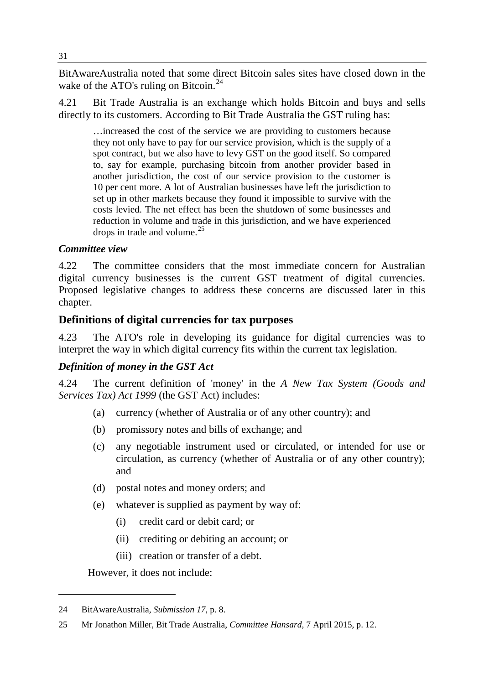BitAwareAustralia noted that some direct Bitcoin sales sites have closed down in the wake of the ATO's ruling on Bitcoin.<sup>[24](#page-4-0)</sup>

4.21 Bit Trade Australia is an exchange which holds Bitcoin and buys and sells directly to its customers. According to Bit Trade Australia the GST ruling has:

…increased the cost of the service we are providing to customers because they not only have to pay for our service provision, which is the supply of a spot contract, but we also have to levy GST on the good itself. So compared to, say for example, purchasing bitcoin from another provider based in another jurisdiction, the cost of our service provision to the customer is 10 per cent more. A lot of Australian businesses have left the jurisdiction to set up in other markets because they found it impossible to survive with the costs levied. The net effect has been the shutdown of some businesses and reduction in volume and trade in this jurisdiction, and we have experienced drops in trade and volume. $25$ 

#### *Committee view*

4.22 The committee considers that the most immediate concern for Australian digital currency businesses is the current GST treatment of digital currencies. Proposed legislative changes to address these concerns are discussed later in this chapter.

#### **Definitions of digital currencies for tax purposes**

4.23 The ATO's role in developing its guidance for digital currencies was to interpret the way in which digital currency fits within the current tax legislation.

#### *Definition of money in the GST Act*

4.24 The current definition of 'money' in the *A New Tax System (Goods and Services Tax) Act 1999* (the GST Act) includes:

- (a) currency (whether of Australia or of any other country); and
- (b) promissory notes and bills of exchange; and
- (c) any negotiable instrument used or circulated, or intended for use or circulation, as currency (whether of Australia or of any other country); and
- (d) postal notes and money orders; and
- (e) whatever is supplied as payment by way of:
	- (i) credit card or debit card; or
	- (ii) crediting or debiting an account; or
	- (iii) creation or transfer of a debt.

However, it does not include:

<span id="page-4-0"></span><sup>24</sup> BitAwareAustralia, *Submission 17*, p. 8.

<span id="page-4-1"></span><sup>25</sup> Mr Jonathon Miller, Bit Trade Australia, *Committee Hansard*, 7 April 2015, p. 12.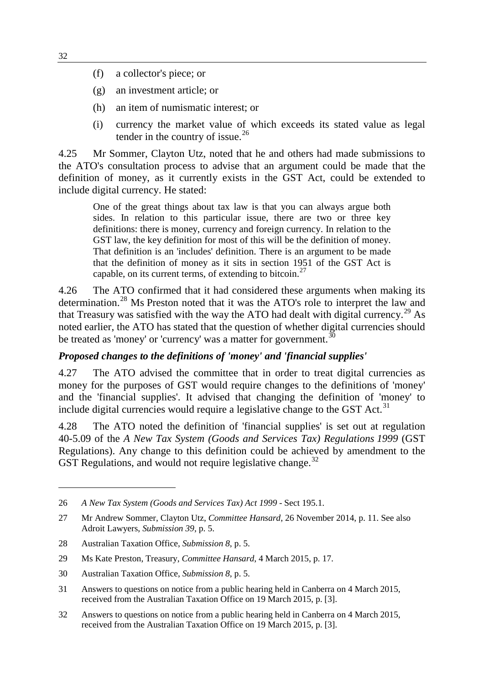- (f) a collector's piece; or
- (g) an investment article; or
- (h) an item of numismatic interest; or
- (i) currency the market value of which exceeds its stated value as legal tender in the country of issue.<sup>[26](#page-5-0)</sup>

4.25 Mr Sommer, Clayton Utz, noted that he and others had made submissions to the ATO's consultation process to advise that an argument could be made that the definition of money, as it currently exists in the GST Act, could be extended to include digital currency. He stated:

One of the great things about tax law is that you can always argue both sides. In relation to this particular issue, there are two or three key definitions: there is money, currency and foreign currency. In relation to the GST law, the key definition for most of this will be the definition of money. That definition is an 'includes' definition. There is an argument to be made that the definition of money as it sits in section 1951 of the GST Act is capable, on its current terms, of extending to bitcoin. $27$ 

4.26 The ATO confirmed that it had considered these arguments when making its determination.<sup>[28](#page-5-2)</sup> Ms Preston noted that it was the ATO's role to interpret the law and that Treasury was satisfied with the way the ATO had dealt with digital currency.<sup>[29](#page-5-3)</sup> As noted earlier, the ATO has stated that the question of whether digital currencies should be treated as 'money' or 'currency' was a matter for government.<sup>[30](#page-5-4)</sup>

#### *Proposed changes to the definitions of 'money' and 'financial supplies'*

4.27 The ATO advised the committee that in order to treat digital currencies as money for the purposes of GST would require changes to the definitions of 'money' and the 'financial supplies'. It advised that changing the definition of 'money' to include digital currencies would require a legislative change to the GST Act.<sup>[31](#page-5-5)</sup>

4.28 The ATO noted the definition of 'financial supplies' is set out at regulation 40-5.09 of the *A New Tax System (Goods and Services Tax) Regulations 1999* (GST Regulations). Any change to this definition could be achieved by amendment to the GST Regulations, and would not require legislative change.<sup>[32](#page-5-6)</sup>

<span id="page-5-6"></span>32 Answers to questions on notice from a public hearing held in Canberra on 4 March 2015, received from the Australian Taxation Office on 19 March 2015, p. [3].

<span id="page-5-0"></span><sup>26</sup> *A New Tax System (Goods and Services Tax) Act 1999* - Sect 195.1.

<span id="page-5-1"></span><sup>27</sup> Mr Andrew Sommer, Clayton Utz, *Committee Hansard*, 26 November 2014, p. 11. See also Adroit Lawyers, *Submission 39*, p. 5.

<span id="page-5-2"></span><sup>28</sup> Australian Taxation Office, *Submission 8*, p. 5.

<span id="page-5-3"></span><sup>29</sup> Ms Kate Preston, Treasury, *Committee Hansard*, 4 March 2015, p. 17.

<span id="page-5-4"></span><sup>30</sup> Australian Taxation Office, *Submission 8*, p. 5.

<span id="page-5-5"></span><sup>31</sup> Answers to questions on notice from a public hearing held in Canberra on 4 March 2015, received from the Australian Taxation Office on 19 March 2015, p. [3].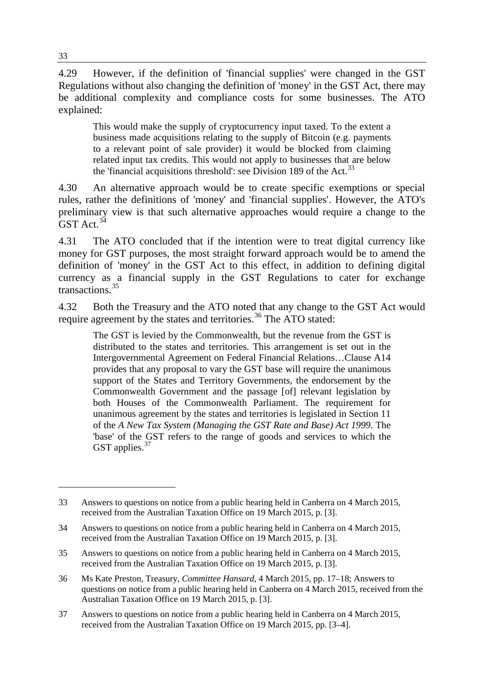4.29 However, if the definition of 'financial supplies' were changed in the GST Regulations without also changing the definition of 'money' in the GST Act, there may be additional complexity and compliance costs for some businesses. The ATO explained:

This would make the supply of cryptocurrency input taxed. To the extent a business made acquisitions relating to the supply of Bitcoin (e.g. payments to a relevant point of sale provider) it would be blocked from claiming related input tax credits. This would not apply to businesses that are below the 'financial acquisitions threshold': see Division 189 of the Act.<sup>[33](#page-6-0)</sup>

4.30 An alternative approach would be to create specific exemptions or special rules, rather the definitions of 'money' and 'financial supplies'. However, the ATO's preliminary view is that such alternative approaches would require a change to the  $GST$  Act.<sup>[34](#page-6-1)</sup>

4.31 The ATO concluded that if the intention were to treat digital currency like money for GST purposes, the most straight forward approach would be to amend the definition of 'money' in the GST Act to this effect, in addition to defining digital currency as a financial supply in the GST Regulations to cater for exchange transactions.[35](#page-6-2)

4.32 Both the Treasury and the ATO noted that any change to the GST Act would require agreement by the states and territories.<sup>[36](#page-6-3)</sup> The ATO stated:

The GST is levied by the Commonwealth, but the revenue from the GST is distributed to the states and territories. This arrangement is set out in the Intergovernmental Agreement on Federal Financial Relations…Clause A14 provides that any proposal to vary the GST base will require the unanimous support of the States and Territory Governments, the endorsement by the Commonwealth Government and the passage [of] relevant legislation by both Houses of the Commonwealth Parliament. The requirement for unanimous agreement by the states and territories is legislated in Section 11 of the *A New Tax System (Managing the GST Rate and Base) Act 1999*. The 'base' of the GST refers to the range of goods and services to which the GST applies.<sup>[37](#page-6-4)</sup>

<span id="page-6-0"></span><sup>33</sup> Answers to questions on notice from a public hearing held in Canberra on 4 March 2015, received from the Australian Taxation Office on 19 March 2015, p. [3].

<span id="page-6-1"></span><sup>34</sup> Answers to questions on notice from a public hearing held in Canberra on 4 March 2015, received from the Australian Taxation Office on 19 March 2015, p. [3].

<span id="page-6-2"></span><sup>35</sup> Answers to questions on notice from a public hearing held in Canberra on 4 March 2015, received from the Australian Taxation Office on 19 March 2015, p. [3].

<span id="page-6-3"></span><sup>36</sup> Ms Kate Preston, Treasury, *Committee Hansard*, 4 March 2015, pp. 17–18; Answers to questions on notice from a public hearing held in Canberra on 4 March 2015, received from the Australian Taxation Office on 19 March 2015, p. [3].

<span id="page-6-4"></span><sup>37</sup> Answers to questions on notice from a public hearing held in Canberra on 4 March 2015, received from the Australian Taxation Office on 19 March 2015, pp. [3–4].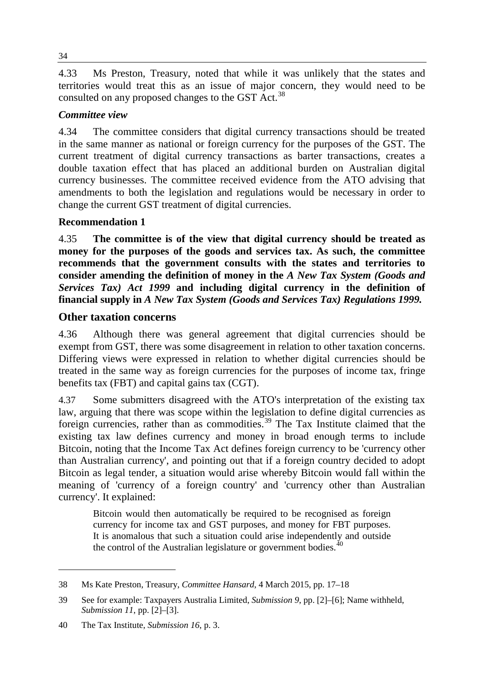4.33 Ms Preston, Treasury, noted that while it was unlikely that the states and territories would treat this as an issue of major concern, they would need to be consulted on any proposed changes to the GST Act.<sup>[38](#page-7-0)</sup>

### *Committee view*

4.34 The committee considers that digital currency transactions should be treated in the same manner as national or foreign currency for the purposes of the GST. The current treatment of digital currency transactions as barter transactions, creates a double taxation effect that has placed an additional burden on Australian digital currency businesses. The committee received evidence from the ATO advising that amendments to both the legislation and regulations would be necessary in order to change the current GST treatment of digital currencies.

#### **Recommendation 1**

4.35 **The committee is of the view that digital currency should be treated as money for the purposes of the goods and services tax. As such, the committee recommends that the government consults with the states and territories to consider amending the definition of money in the** *A New Tax System (Goods and Services Tax) Act 1999* **and including digital currency in the definition of financial supply in** *A New Tax System (Goods and Services Tax) Regulations 1999.* 

#### **Other taxation concerns**

4.36 Although there was general agreement that digital currencies should be exempt from GST, there was some disagreement in relation to other taxation concerns. Differing views were expressed in relation to whether digital currencies should be treated in the same way as foreign currencies for the purposes of income tax, fringe benefits tax (FBT) and capital gains tax (CGT).

4.37 Some submitters disagreed with the ATO's interpretation of the existing tax law, arguing that there was scope within the legislation to define digital currencies as foreign currencies, rather than as commodities.[39](#page-7-1) The Tax Institute claimed that the existing tax law defines currency and money in broad enough terms to include Bitcoin, noting that the Income Tax Act defines foreign currency to be 'currency other than Australian currency', and pointing out that if a foreign country decided to adopt Bitcoin as legal tender, a situation would arise whereby Bitcoin would fall within the meaning of 'currency of a foreign country' and 'currency other than Australian currency'. It explained:

Bitcoin would then automatically be required to be recognised as foreign currency for income tax and GST purposes, and money for FBT purposes. It is anomalous that such a situation could arise independently and outside the control of the Australian legislature or government bodies. $40$ 

<span id="page-7-0"></span><sup>38</sup> Ms Kate Preston, Treasury, *Committee Hansard*, 4 March 2015, pp. 17–18

<span id="page-7-1"></span><sup>39</sup> See for example: Taxpayers Australia Limited, *Submission 9*, pp. [2]–[6]; Name withheld, *Submission 11*, pp. [2]–[3].

<span id="page-7-2"></span><sup>40</sup> The Tax Institute, *Submission 16*, p. 3.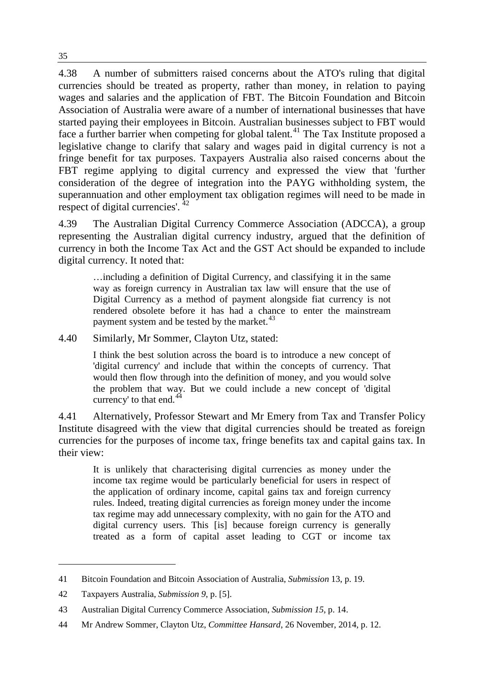4.38 A number of submitters raised concerns about the ATO's ruling that digital currencies should be treated as property, rather than money, in relation to paying wages and salaries and the application of FBT. The Bitcoin Foundation and Bitcoin Association of Australia were aware of a number of international businesses that have started paying their employees in Bitcoin. Australian businesses subject to FBT would face a further barrier when competing for global talent.<sup>[41](#page-8-0)</sup> The Tax Institute proposed a legislative change to clarify that salary and wages paid in digital currency is not a fringe benefit for tax purposes. Taxpayers Australia also raised concerns about the FBT regime applying to digital currency and expressed the view that 'further consideration of the degree of integration into the PAYG withholding system, the superannuation and other employment tax obligation regimes will need to be made in respect of digital currencies'. [42](#page-8-1)

4.39 The Australian Digital Currency Commerce Association (ADCCA), a group representing the Australian digital currency industry, argued that the definition of currency in both the Income Tax Act and the GST Act should be expanded to include digital currency. It noted that:

…including a definition of Digital Currency, and classifying it in the same way as foreign currency in Australian tax law will ensure that the use of Digital Currency as a method of payment alongside fiat currency is not rendered obsolete before it has had a chance to enter the mainstream payment system and be tested by the market.<sup>[43](#page-8-2)</sup>

4.40 Similarly, Mr Sommer, Clayton Utz, stated:

I think the best solution across the board is to introduce a new concept of 'digital currency' and include that within the concepts of currency. That would then flow through into the definition of money, and you would solve the problem that way. But we could include a new concept of 'digital currency' to that end. $44$ 

4.41 Alternatively, Professor Stewart and Mr Emery from Tax and Transfer Policy Institute disagreed with the view that digital currencies should be treated as foreign currencies for the purposes of income tax, fringe benefits tax and capital gains tax. In their view:

It is unlikely that characterising digital currencies as money under the income tax regime would be particularly beneficial for users in respect of the application of ordinary income, capital gains tax and foreign currency rules. Indeed, treating digital currencies as foreign money under the income tax regime may add unnecessary complexity, with no gain for the ATO and digital currency users. This [is] because foreign currency is generally treated as a form of capital asset leading to CGT or income tax

<span id="page-8-0"></span><sup>41</sup> Bitcoin Foundation and Bitcoin Association of Australia, *Submission* 13, p. 19.

<span id="page-8-1"></span><sup>42</sup> Taxpayers Australia, *Submission 9*, p. [5].

<span id="page-8-2"></span><sup>43</sup> Australian Digital Currency Commerce Association, *Submission 15*, p. 14.

<span id="page-8-3"></span><sup>44</sup> Mr Andrew Sommer, Clayton Utz, *Committee Hansard*, 26 November, 2014, p. 12.